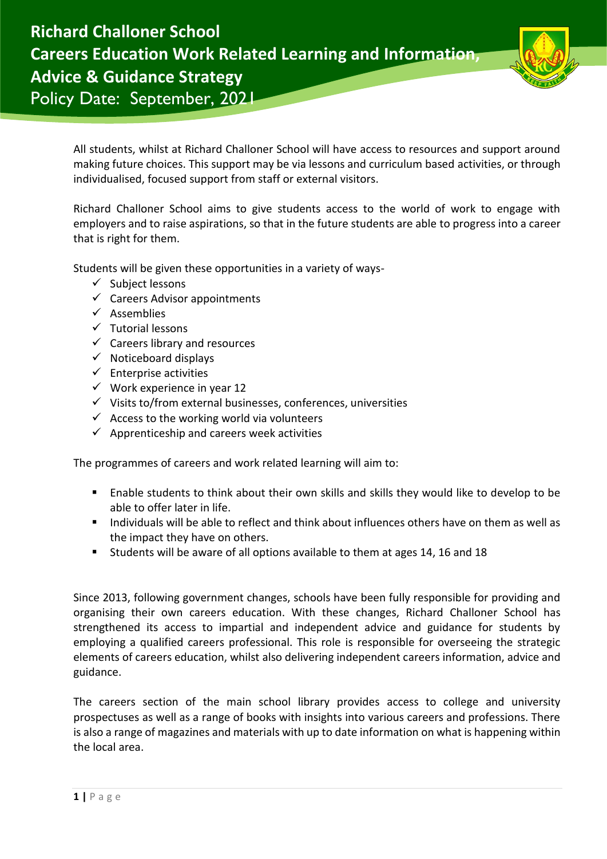



All students, whilst at Richard Challoner School will have access to resources and support around making future choices. This support may be via lessons and curriculum based activities, or through individualised, focused support from staff or external visitors.

Richard Challoner School aims to give students access to the world of work to engage with employers and to raise aspirations, so that in the future students are able to progress into a career that is right for them.

Students will be given these opportunities in a variety of ways-

- $\checkmark$  Subject lessons
- $\checkmark$  Careers Advisor appointments
- ✓ Assemblies
- ✓ Tutorial lessons
- $\checkmark$  Careers library and resources
- $\checkmark$  Noticeboard displays
- $\checkmark$  Enterprise activities
- $\checkmark$  Work experience in year 12
- ✓ Visits to/from external businesses, conferences, universities
- $\checkmark$  Access to the working world via volunteers
- $\checkmark$  Apprenticeship and careers week activities

The programmes of careers and work related learning will aim to:

- Enable students to think about their own skills and skills they would like to develop to be able to offer later in life.
- Individuals will be able to reflect and think about influences others have on them as well as the impact they have on others.
- Students will be aware of all options available to them at ages 14, 16 and 18

Since 2013, following government changes, schools have been fully responsible for providing and organising their own careers education. With these changes, Richard Challoner School has strengthened its access to impartial and independent advice and guidance for students by employing a qualified careers professional. This role is responsible for overseeing the strategic elements of careers education, whilst also delivering independent careers information, advice and guidance.

The careers section of the main school library provides access to college and university prospectuses as well as a range of books with insights into various careers and professions. There is also a range of magazines and materials with up to date information on what is happening within the local area.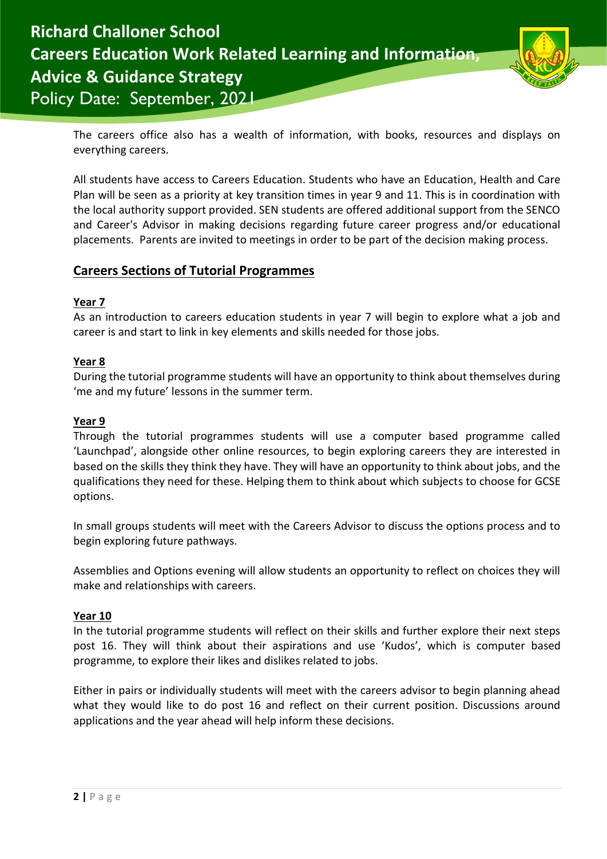



The careers office also has a wealth of information, with books, resources and displays on everything careers.

All students have access to Careers Education. Students who have an Education, Health and Care Plan will be seen as a priority at key transition times in year 9 and 11. This is in coordination with the local authority support provided. SEN students are offered additional support from the SENCO and Career's Advisor in making decisions regarding future career progress and/or educational placements. Parents are invited to meetings in order to be part of the decision making process.

# **Careers Sections of Tutorial Programmes**

## **Year 7**

As an introduction to careers education students in year 7 will begin to explore what a job and career is and start to link in key elements and skills needed for those jobs.

### **Year 8**

During the tutorial programme students will have an opportunity to think about themselves during 'me and my future' lessons in the summer term.

### **Year 9**

Through the tutorial programmes students will use a computer based programme called 'Launchpad', alongside other online resources, to begin exploring careers they are interested in based on the skills they think they have. They will have an opportunity to think about jobs, and the qualifications they need for these. Helping them to think about which subjects to choose for GCSE options.

In small groups students will meet with the Careers Advisor to discuss the options process and to begin exploring future pathways.

Assemblies and Options evening will allow students an opportunity to reflect on choices they will make and relationships with careers.

#### **Year 10**

In the tutorial programme students will reflect on their skills and further explore their next steps post 16. They will think about their aspirations and use 'Kudos', which is computer based programme, to explore their likes and dislikes related to jobs.

Either in pairs or individually students will meet with the careers advisor to begin planning ahead what they would like to do post 16 and reflect on their current position. Discussions around applications and the year ahead will help inform these decisions.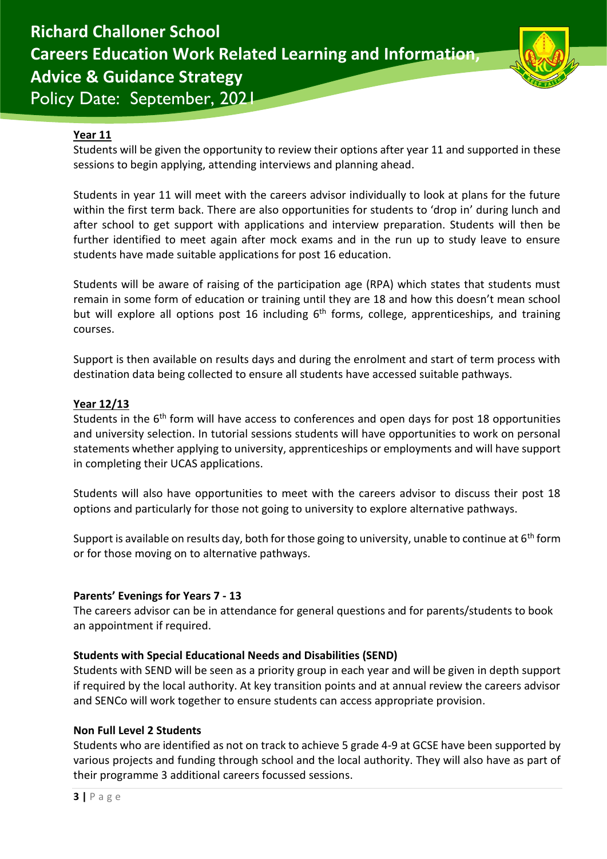

### **Year 11**

Students will be given the opportunity to review their options after year 11 and supported in these sessions to begin applying, attending interviews and planning ahead.

Students in year 11 will meet with the careers advisor individually to look at plans for the future within the first term back. There are also opportunities for students to 'drop in' during lunch and after school to get support with applications and interview preparation. Students will then be further identified to meet again after mock exams and in the run up to study leave to ensure students have made suitable applications for post 16 education.

Students will be aware of raising of the participation age (RPA) which states that students must remain in some form of education or training until they are 18 and how this doesn't mean school but will explore all options post 16 including  $6<sup>th</sup>$  forms, college, apprenticeships, and training courses.

Support is then available on results days and during the enrolment and start of term process with destination data being collected to ensure all students have accessed suitable pathways.

### **Year 12/13**

Students in the 6<sup>th</sup> form will have access to conferences and open days for post 18 opportunities and university selection. In tutorial sessions students will have opportunities to work on personal statements whether applying to university, apprenticeships or employments and will have support in completing their UCAS applications.

Students will also have opportunities to meet with the careers advisor to discuss their post 18 options and particularly for those not going to university to explore alternative pathways.

Support is available on results day, both for those going to university, unable to continue at  $6<sup>th</sup>$  form or for those moving on to alternative pathways.

#### **Parents' Evenings for Years 7 - 13**

The careers advisor can be in attendance for general questions and for parents/students to book an appointment if required.

#### **Students with Special Educational Needs and Disabilities (SEND)**

Students with SEND will be seen as a priority group in each year and will be given in depth support if required by the local authority. At key transition points and at annual review the careers advisor and SENCo will work together to ensure students can access appropriate provision.

#### **Non Full Level 2 Students**

Students who are identified as not on track to achieve 5 grade 4-9 at GCSE have been supported by various projects and funding through school and the local authority. They will also have as part of their programme 3 additional careers focussed sessions.